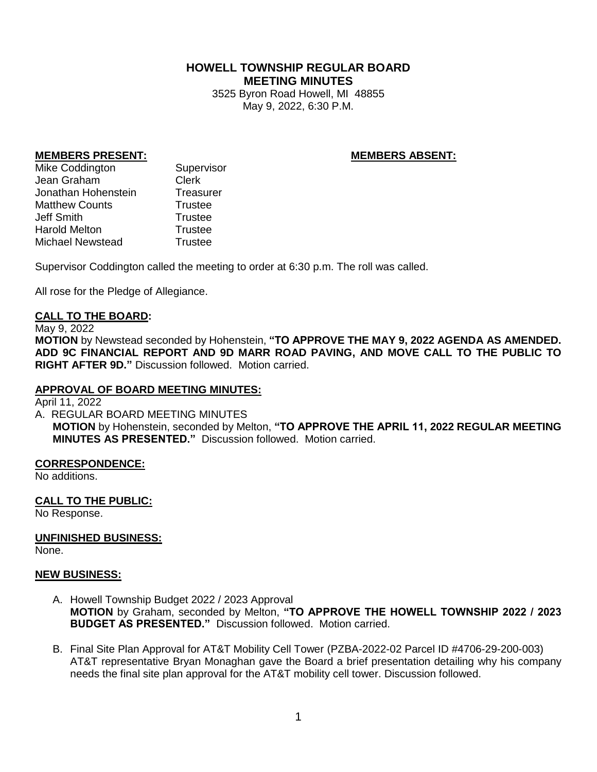# **HOWELL TOWNSHIP REGULAR BOARD MEETING MINUTES**

3525 Byron Road Howell, MI 48855 May 9, 2022, 6:30 P.M.

## **MEMBERS PRESENT: MEMBERS ABSENT:**

Mike Coddington Supervisor Jean Graham Clerk Jonathan Hohenstein Treasurer Matthew Counts **Trustee** Jeff Smith Trustee Harold Melton Trustee Michael Newstead Trustee

Supervisor Coddington called the meeting to order at 6:30 p.m. The roll was called.

All rose for the Pledge of Allegiance.

### **CALL TO THE BOARD:**

#### May 9, 2022

**MOTION** by Newstead seconded by Hohenstein, **"TO APPROVE THE MAY 9, 2022 AGENDA AS AMENDED. ADD 9C FINANCIAL REPORT AND 9D MARR ROAD PAVING, AND MOVE CALL TO THE PUBLIC TO RIGHT AFTER 9D."** Discussion followed. Motion carried.

## **APPROVAL OF BOARD MEETING MINUTES:**

April 11, 2022

A. REGULAR BOARD MEETING MINUTES

**MOTION** by Hohenstein, seconded by Melton, **"TO APPROVE THE APRIL 11, 2022 REGULAR MEETING MINUTES AS PRESENTED."** Discussion followed. Motion carried.

### **CORRESPONDENCE:**

No additions.

### **CALL TO THE PUBLIC:**

No Response.

# **UNFINISHED BUSINESS:**

None.

### **NEW BUSINESS:**

- A. Howell Township Budget 2022 / 2023 Approval **MOTION** by Graham, seconded by Melton, **"TO APPROVE THE HOWELL TOWNSHIP 2022 / 2023 BUDGET AS PRESENTED."** Discussion followed. Motion carried.
- B. Final Site Plan Approval for AT&T Mobility Cell Tower (PZBA-2022-02 Parcel ID #4706-29-200-003) AT&T representative Bryan Monaghan gave the Board a brief presentation detailing why his company needs the final site plan approval for the AT&T mobility cell tower. Discussion followed.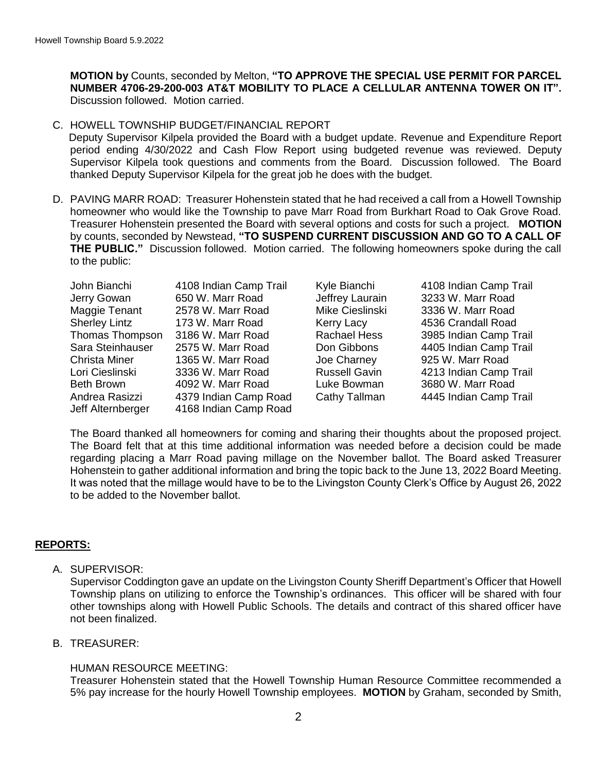**MOTION by** Counts, seconded by Melton, **"TO APPROVE THE SPECIAL USE PERMIT FOR PARCEL NUMBER 4706-29-200-003 AT&T MOBILITY TO PLACE A CELLULAR ANTENNA TOWER ON IT".**  Discussion followed. Motion carried.

## C. HOWELL TOWNSHIP BUDGET/FINANCIAL REPORT

Deputy Supervisor Kilpela provided the Board with a budget update. Revenue and Expenditure Report period ending 4/30/2022 and Cash Flow Report using budgeted revenue was reviewed. Deputy Supervisor Kilpela took questions and comments from the Board. Discussion followed. The Board thanked Deputy Supervisor Kilpela for the great job he does with the budget.

D. PAVING MARR ROAD: Treasurer Hohenstein stated that he had received a call from a Howell Township homeowner who would like the Township to pave Marr Road from Burkhart Road to Oak Grove Road. Treasurer Hohenstein presented the Board with several options and costs for such a project. **MOTION** by counts, seconded by Newstead, **"TO SUSPEND CURRENT DISCUSSION AND GO TO A CALL OF THE PUBLIC."** Discussion followed. Motion carried. The following homeowners spoke during the call to the public:

| John Bianchi         | 4108 Indian Camp Trail |
|----------------------|------------------------|
| Jerry Gowan          | 650 W. Marr Road       |
| Maggie Tenant        | 2578 W. Marr Road      |
| <b>Sherley Lintz</b> | 173 W. Marr Road       |
| Thomas Thompson      | 3186 W. Marr Road      |
| Sara Steinhauser     | 2575 W. Marr Road      |
| <b>Christa Miner</b> | 1365 W. Marr Road      |
| Lori Cieslinski      | 3336 W. Marr Road      |
| <b>Beth Brown</b>    | 4092 W. Marr Road      |
| Andrea Rasizzi       | 4379 Indian Camp Road  |
| Jeff Alternberger    | 4168 Indian Camp Road  |
|                      |                        |

Kyle Bianchi 4108 Indian Camp Trail Jeffrey Laurain 3233 W. Marr Road Mike Cieslinski 3336 W. Marr Road Kerry Lacy **4536 Crandall Road** Rachael Hess 3985 Indian Camp Trail Don Gibbons 4405 Indian Camp Trail Joe Charney 925 W. Marr Road Russell Gavin 4213 Indian Camp Trail Luke Bowman 3680 W. Marr Road Cathy Tallman 4445 Indian Camp Trail

The Board thanked all homeowners for coming and sharing their thoughts about the proposed project. The Board felt that at this time additional information was needed before a decision could be made regarding placing a Marr Road paving millage on the November ballot. The Board asked Treasurer Hohenstein to gather additional information and bring the topic back to the June 13, 2022 Board Meeting. It was noted that the millage would have to be to the Livingston County Clerk's Office by August 26, 2022 to be added to the November ballot.

### **REPORTS:**

A. SUPERVISOR:

Supervisor Coddington gave an update on the Livingston County Sheriff Department's Officer that Howell Township plans on utilizing to enforce the Township's ordinances. This officer will be shared with four other townships along with Howell Public Schools. The details and contract of this shared officer have not been finalized.

B. TREASURER:

### HUMAN RESOURCE MEETING:

Treasurer Hohenstein stated that the Howell Township Human Resource Committee recommended a 5% pay increase for the hourly Howell Township employees. **MOTION** by Graham, seconded by Smith,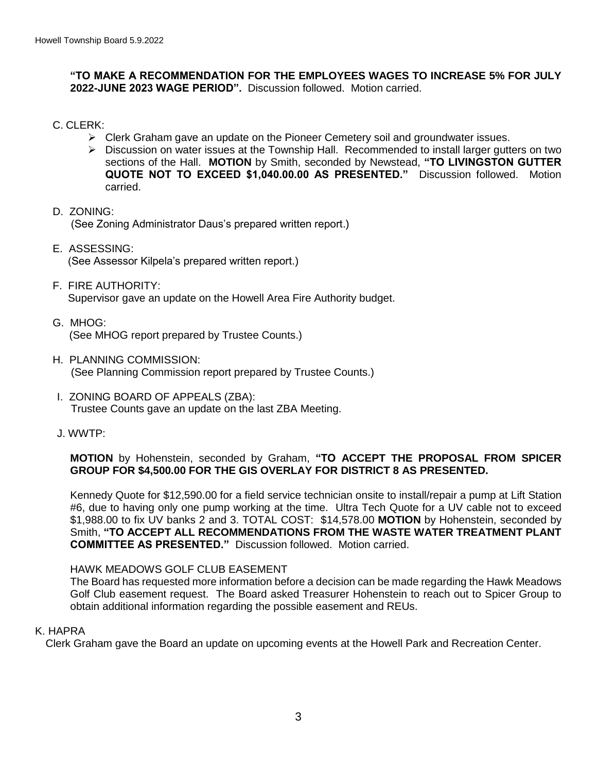## **"TO MAKE A RECOMMENDATION FOR THE EMPLOYEES WAGES TO INCREASE 5% FOR JULY 2022-JUNE 2023 WAGE PERIOD".** Discussion followed. Motion carried.

C. CLERK:

- $\triangleright$  Clerk Graham gave an update on the Pioneer Cemetery soil and groundwater issues.
- $\triangleright$  Discussion on water issues at the Township Hall. Recommended to install larger gutters on two sections of the Hall. **MOTION** by Smith, seconded by Newstead, **"TO LIVINGSTON GUTTER QUOTE NOT TO EXCEED \$1,040.00.00 AS PRESENTED."** Discussion followed. Motion carried.
- D. ZONING: (See Zoning Administrator Daus's prepared written report.)
- E. ASSESSING: (See Assessor Kilpela's prepared written report.)
- F. FIRE AUTHORITY: Supervisor gave an update on the Howell Area Fire Authority budget.
- G. MHOG: (See MHOG report prepared by Trustee Counts.)
- H. PLANNING COMMISSION: (See Planning Commission report prepared by Trustee Counts.)
- I. ZONING BOARD OF APPEALS (ZBA): Trustee Counts gave an update on the last ZBA Meeting.
- J. WWTP:

# **MOTION** by Hohenstein, seconded by Graham, **"TO ACCEPT THE PROPOSAL FROM SPICER GROUP FOR \$4,500.00 FOR THE GIS OVERLAY FOR DISTRICT 8 AS PRESENTED.**

Kennedy Quote for \$12,590.00 for a field service technician onsite to install/repair a pump at Lift Station #6, due to having only one pump working at the time. Ultra Tech Quote for a UV cable not to exceed \$1,988.00 to fix UV banks 2 and 3. TOTAL COST: \$14,578.00 **MOTION** by Hohenstein, seconded by Smith, **"TO ACCEPT ALL RECOMMENDATIONS FROM THE WASTE WATER TREATMENT PLANT COMMITTEE AS PRESENTED."** Discussion followed. Motion carried.

### HAWK MEADOWS GOLF CLUB EASEMENT

The Board has requested more information before a decision can be made regarding the Hawk Meadows Golf Club easement request. The Board asked Treasurer Hohenstein to reach out to Spicer Group to obtain additional information regarding the possible easement and REUs.

# K. HAPRA

Clerk Graham gave the Board an update on upcoming events at the Howell Park and Recreation Center.